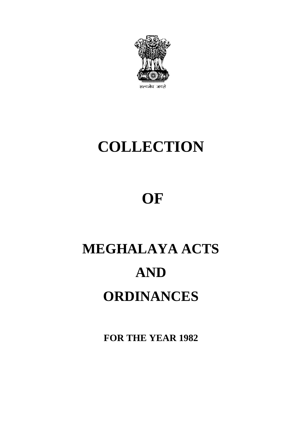

## **COLLECTION**

### **OF**

# **MEGHALAYA ACTS AND ORDINANCES**

**FOR THE YEAR 1982**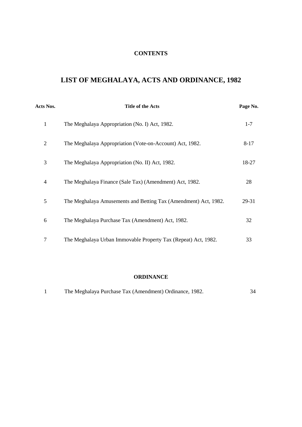#### **CONTENTS**

### **LIST OF MEGHALAYA, ACTS AND ORDINANCE, 1982**

| Acts Nos.      | <b>Title of the Acts</b>                                        | Page No. |  |
|----------------|-----------------------------------------------------------------|----------|--|
| 1              | The Meghalaya Appropriation (No. I) Act, 1982.                  | $1 - 7$  |  |
| $\overline{2}$ | The Meghalaya Appropriation (Vote-on-Account) Act, 1982.        | $8-17$   |  |
| 3              | The Meghalaya Appropriation (No. II) Act, 1982.                 | 18-27    |  |
| 4              | The Meghalaya Finance (Sale Tax) (Amendment) Act, 1982.         | 28       |  |
| 5              | The Meghalaya Amusements and Betting Tax (Amendment) Act, 1982. | 29-31    |  |
| 6              | The Meghalaya Purchase Tax (Amendment) Act, 1982.               | 32       |  |
| 7              | The Meghalaya Urban Immovable Property Tax (Repeat) Act, 1982.  | 33       |  |

#### **ORDINANCE**

|  | The Meghalaya Purchase Tax (Amendment) Ordinance, 1982. |  |
|--|---------------------------------------------------------|--|
|  |                                                         |  |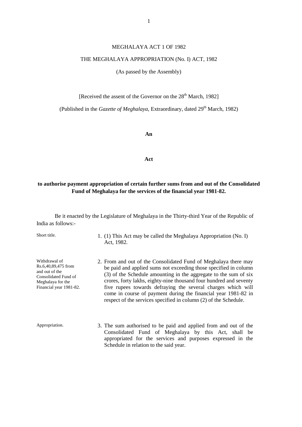#### MEGHALAYA ACT 1 OF 1982

#### THE MEGHALAYA APPROPRIATION (No. I) ACT, 1982

(As passed by the Assembly)

[Received the assent of the Governor on the  $28<sup>th</sup>$  March, 1982]

(Published in the *Gazette of Meghalaya*, Extraordinary, dated  $29<sup>th</sup>$  March, 1982)

**An**

**Act**

#### **to authorise payment appropriation of certain further sums from and out of the Consolidated Fund of Meghalaya for the services of the financial year 1981-82.**

Be it enacted by the Legislature of Meghalaya in the Thirty-third Year of the Republic of India as follows:-

Withdrawal of Rs.6,40,89,475 from and out of the Consolidated Fund of Meghalaya for the Financial year 1981-82.

- Short title. 1. (1) This Act may be called the Meghalaya Appropriation (No. I) Act, 1982.
	- 2. From and out of the Consolidated Fund of Meghalaya there may be paid and applied sums not exceeding those specified in column (3) of the Schedule amounting in the aggregate to the sum of six crores, forty lakhs, eighty-nine thousand four hundred and seventy five rupees towards defraying the several charges which will come in course of payment during the financial year 1981-82 in respect of the services specified in column (2) of the Schedule.
- Appropriation. 3. The sum authorised to be paid and applied from and out of the Consolidated Fund of Meghalaya by this Act, shall be appropriated for the services and purposes expressed in the Schedule in relation to the said year.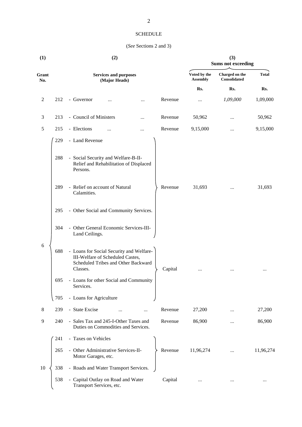#### **SCHEDULE**

#### (*See* Sections 2 and 3)

| (1)            |     | (2)                                                                                                                                        | (3)<br><b>Sums not exceeding</b> |                                |              |
|----------------|-----|--------------------------------------------------------------------------------------------------------------------------------------------|----------------------------------|--------------------------------|--------------|
| Grant<br>No.   |     | <b>Services and purposes</b><br>(Major Heads)                                                                                              | Voted by the<br><b>Assembly</b>  | Charged on the<br>Consolidated | <b>Total</b> |
|                |     |                                                                                                                                            | Rs.                              | Rs.                            | Rs.          |
| $\mathfrak{2}$ | 212 | - Governor<br>Revenue<br>$\ddotsc$                                                                                                         | $\cdots$                         | 1,09,000                       | 1,09,000     |
| 3              | 213 | - Council of Ministers<br>Revenue<br>                                                                                                      | 50,962                           |                                | 50,962       |
| 5              | 215 | - Elections<br>Revenue<br>                                                                                                                 | 9,15,000                         | $\ldots$                       | 9,15,000     |
|                | 229 | - Land Revenue                                                                                                                             |                                  |                                |              |
|                | 288 | - Social Security and Welfare-B-II-<br>Relief and Rehabilitation of Displaced<br>Persons.                                                  |                                  |                                |              |
|                | 289 | - Relief on account of Natural<br>Revenue<br>Calamities.                                                                                   | 31,693                           | $\cdots$                       | 31,693       |
|                | 295 | - Other Social and Community Services.                                                                                                     |                                  |                                |              |
|                | 304 | - Other General Economic Services-III-<br>Land Ceilings.                                                                                   |                                  |                                |              |
| $\sqrt{6}$     | 688 | - Loans for Social Security and Welfare-<br>III-Welfare of Scheduled Castes,<br>Scheduled Tribes and Other Backward<br>Classes.<br>Capital |                                  | $\ldots$                       |              |
|                | 695 | - Loans for other Social and Community<br>Services.                                                                                        |                                  |                                |              |
|                | 705 | - Loans for Agriculture                                                                                                                    |                                  |                                |              |
| 8              | 239 | - State Excise<br>Revenue<br>                                                                                                              | 27,200                           |                                | 27,200       |
| 9              | 240 | - Sales Tax and 245-I-Other Taxes and<br>Revenue<br>Duties on Commodities and Services.                                                    | 86,900                           |                                | 86,900       |
|                | 241 | - Taxes on Vehicles                                                                                                                        |                                  |                                |              |
|                | 265 | - Other Administrative Services-II-<br>Revenue<br>Motor Garages, etc.                                                                      | 11,96,274                        | $\cdots$                       | 11,96,274    |
| 10             | 338 | - Roads and Water Transport Services.                                                                                                      |                                  |                                |              |
|                | 538 | - Capital Outlay on Road and Water<br>Capital<br>Transport Services, etc.                                                                  |                                  | $\cdots$                       | $\cdots$     |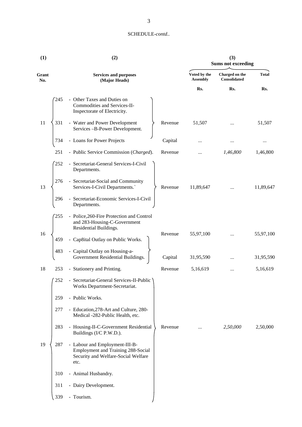| (1)          | (2)                                                                                                                 |         | (3)<br><b>Sums not exceeding</b> |                                |              |  |
|--------------|---------------------------------------------------------------------------------------------------------------------|---------|----------------------------------|--------------------------------|--------------|--|
| Grant<br>No. | <b>Services and purposes</b><br>(Major Heads)                                                                       |         | Voted by the<br><b>Assembly</b>  | Charged on the<br>Consolidated | <b>Total</b> |  |
|              |                                                                                                                     |         | Rs.                              | Rs.                            | Rs.          |  |
| 245          | - Other Taxes and Duties on<br>Commodities and Services-II-<br>Inspectorate of Electricity.                         |         |                                  |                                |              |  |
| 11<br>331    | - Water and Power Development<br>Services -B-Power Development.                                                     | Revenue | 51,507                           |                                | 51,507       |  |
| 734          | - Loans for Power Projects                                                                                          | Capital |                                  |                                | $\cdots$     |  |
| 251          | - Public Service Commission (Charged).                                                                              | Revenue |                                  | 1,46,800                       | 1,46,800     |  |
| 252          | - Secretariat-General Services-I-Civil<br>Departments.                                                              |         |                                  |                                |              |  |
| 276<br>13    | - Secretariat-Social and Community<br>Services-I-Civil Departments.                                                 | Revenue | 11,89,647                        |                                | 11,89,647    |  |
| 296          | - Secretariat-Economic Services-I-Civil<br>Departments.                                                             |         |                                  |                                |              |  |
| 255          | - Police, 260-Fire Protection and Control<br>and 283-Housing-C-Government<br>Residential Buildings.                 |         |                                  |                                |              |  |
| 16<br>459    | Cap8ital Outlay on Public Works.                                                                                    | Revenue | 55,97,100                        |                                | 55,97,100    |  |
| 483          | - Capital Outlay on Housing-a-<br>Government Residential Buildings.                                                 | Capital | 31,95,590                        |                                | 31,95,590    |  |
| 18<br>253    | - Stationery and Printing.                                                                                          | Revenue | 5,16,619                         |                                | 5,16,619     |  |
| 252          | - Secretariat-General Services-II-Public<br>Works Department-Secretariat.                                           |         |                                  |                                |              |  |
| 259          | - Public Works.                                                                                                     |         |                                  |                                |              |  |
| 277          | - Education, 278-Art and Culture, 280-<br>Medical -282-Public Health, etc.                                          |         |                                  |                                |              |  |
| 283          | - Housing-II-C-Government Residential<br>Buildings (I/C P.W.D.).                                                    | Revenue |                                  | 2,50,000                       | 2,50,000     |  |
| 19<br>287    | - Labour and Employment-III-B-<br>Employment and Training 288-Social<br>Security and Welfare-Social Welfare<br>etc. |         |                                  |                                |              |  |
| 310          | - Animal Husbandry.                                                                                                 |         |                                  |                                |              |  |
| 311          | - Dairy Development.                                                                                                |         |                                  |                                |              |  |
| 339          | - Tourism.                                                                                                          |         |                                  |                                |              |  |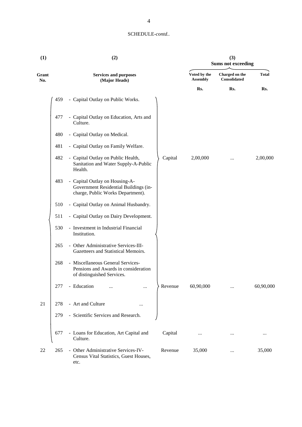| (1)          |     | (2)                                                                                                          |         |                                 | (3)<br><b>Sums not exceeding</b> |              |  |  |
|--------------|-----|--------------------------------------------------------------------------------------------------------------|---------|---------------------------------|----------------------------------|--------------|--|--|
| Grant<br>No. |     | <b>Services and purposes</b><br>(Major Heads)                                                                |         | Voted by the<br><b>Assembly</b> | Charged on the<br>Consolidated   | <b>Total</b> |  |  |
|              |     |                                                                                                              |         | Rs.                             | Rs.                              | Rs.          |  |  |
|              | 459 | - Capital Outlay on Public Works.                                                                            |         |                                 |                                  |              |  |  |
|              | 477 | - Capital Outlay on Education, Arts and<br>Culture.                                                          |         |                                 |                                  |              |  |  |
|              | 480 | - Capital Outlay on Medical.                                                                                 |         |                                 |                                  |              |  |  |
|              | 481 | - Capital Outlay on Family Welfare.                                                                          |         |                                 |                                  |              |  |  |
|              | 482 | - Capital Outlay on Public Health,<br>Sanitation and Water Supply-A-Public<br>Health.                        | Capital | 2,00,000                        | $\cdots$                         | 2,00,000     |  |  |
|              | 483 | - Capital Outlay on Housing-A-<br>Government Residential Buildings (in-<br>charge, Public Works Department). |         |                                 |                                  |              |  |  |
|              | 510 | - Capital Outlay on Animal Husbandry.                                                                        |         |                                 |                                  |              |  |  |
|              | 511 | - Capital Outlay on Dairy Development.                                                                       |         |                                 |                                  |              |  |  |
|              | 530 | - Investment in Industrial Financial<br>Institution.                                                         |         |                                 |                                  |              |  |  |
|              | 265 | - Other Administrative Services-III-<br>Gazetteers and Statistical Memoirs.                                  |         |                                 |                                  |              |  |  |
|              | 268 | - Miscellaneous General Services-<br>Pensions and Awards in consideration<br>of distinguished Services.      |         |                                 |                                  |              |  |  |
|              | 277 | - Education                                                                                                  | Revenue | 60,90,000                       |                                  | 60,90,000    |  |  |
| 21           | 278 | - Art and Culture<br>                                                                                        |         |                                 |                                  |              |  |  |
|              | 279 | - Scientific Services and Research.                                                                          |         |                                 |                                  |              |  |  |
|              | 677 | - Loans for Education, Art Capital and<br>Culture.                                                           | Capital |                                 |                                  | $\cdots$     |  |  |
| 22           | 265 | - Other Administrative Services-IV-<br>Census Vital Statistics, Guest Houses,<br>etc.                        | Revenue | 35,000                          | $\cdots$                         | 35,000       |  |  |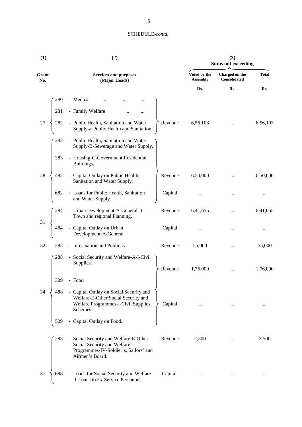| (1)          | (3)<br>(2)<br><b>Sums not exceeding</b>                                                                                                             |                                 |                                |              |
|--------------|-----------------------------------------------------------------------------------------------------------------------------------------------------|---------------------------------|--------------------------------|--------------|
| Grant<br>No. | <b>Services and purposes</b><br>(Major Heads)                                                                                                       | Voted by the<br><b>Assembly</b> | Charged on the<br>Consolidated | <b>Total</b> |
|              |                                                                                                                                                     | Rs.                             | Rs.                            | Rs.          |
|              | 280<br>- Medical<br>$\cdots$                                                                                                                        |                                 |                                |              |
|              | 281<br>- Family Welfare                                                                                                                             |                                 |                                |              |
| 27           | - Public Health, Sanitation and Water<br>282<br>Revenue<br>Supply-a-Public Health and Sanitation.                                                   | 6,56,103                        |                                | 6,56,103     |
|              | - Public Health, Sanitation and Water<br>282<br>Supply-B-Sewerage and Water Supply.                                                                 |                                 |                                |              |
|              | - Housing-C-Government Residential<br>283<br>Buildings.                                                                                             |                                 |                                |              |
| 28           | - Capital Outlay on Public Health,<br>482<br>Revenue<br>Sanitation and Water Supply.                                                                | 6,50,000                        |                                | 6,50,000     |
|              | - Loans for Public Health, Sanitation<br>682<br>Capital<br>and Water Supply.                                                                        |                                 |                                |              |
|              | - Urban Development-A-General-II-<br>284<br>Revenue<br>Town and regional Planning.                                                                  | 6,41,655                        |                                | 6,41,655     |
| 31           | - Capital Outlay on Urban<br>484<br>Capital<br>Development-A-General.                                                                               |                                 |                                |              |
| 32           | 285<br>- Information and Publicity<br>Revenue                                                                                                       | 55,000                          |                                | 55,000       |
|              | 288<br>- Social Security and Welfare-A-I-Civil<br>Supplies.<br>Revenue                                                                              | 1,76,000                        |                                | 1,76,000     |
|              | 309<br>- Food                                                                                                                                       |                                 |                                |              |
| 34           | - Capital Outlay on Social Security and<br>488<br>Welfare-E-Other Social Security and<br>Welfare Programmes-I-Civil Supplies<br>Capital<br>Schemes. |                                 |                                | $\cdots$     |
|              | - Capital Outlay on Food.<br>509                                                                                                                    |                                 |                                |              |
|              | 288<br>- Social Security and Welfare-E-Other<br>Revenue<br>Social Security and Welfare<br>Programmes-IV-Soldier's, Sailors' and<br>Airmen's Board.  | 2,500                           |                                | 2,500        |
| 37           | - Loans for Social Security and Welfare-<br>688<br>Capital.<br>II-Loans to Ex-Service Personnel.                                                    | $\cdots$                        | $\cdots$                       | $\cdots$     |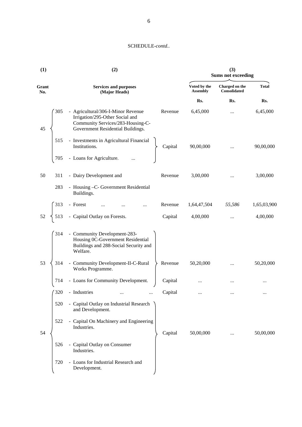| (1)          | (2)                                                                                                                                                               | (3)<br><b>Sums not exceeding</b> |                                |              |  |
|--------------|-------------------------------------------------------------------------------------------------------------------------------------------------------------------|----------------------------------|--------------------------------|--------------|--|
| Grant<br>No. | <b>Services and purposes</b><br>(Major Heads)                                                                                                                     | Voted by the<br><b>Assembly</b>  | Charged on the<br>Consolidated | <b>Total</b> |  |
|              |                                                                                                                                                                   | Rs.                              | Rs.                            | Rs.          |  |
| 45           | 305<br>- Agricultural/306-I-Minor Revenue<br>Revenue<br>Irrigation/295-Other Social and<br>Community Services/283-Housing-C-<br>Government Residential Buildings. | 6,45,000                         |                                | 6,45,000     |  |
|              | - Investments in Agricultural Financial<br>515<br>Institutions.<br>Capital                                                                                        | 90,00,000                        |                                | 90,00,000    |  |
|              | - Loans for Agriculture.<br>705                                                                                                                                   |                                  |                                |              |  |
| 50           | - Dairy Development and<br>311<br>Revenue                                                                                                                         | 3,00,000                         |                                | 3,00,000     |  |
|              | 283<br>- Housing -C- Government Residential<br>Buildings.                                                                                                         |                                  |                                |              |  |
|              | - Forest<br>313<br>Revenue                                                                                                                                        | 1,64,47,504                      | 55,586                         | 1,65,03,900  |  |
| 52           | - Capital Outlay on Forests.<br>513<br>Capital                                                                                                                    | 4,00,000                         |                                | 4,00,000     |  |
|              | - Community Development-283-<br>314<br>Housing 0C-Government Residential<br>Buildings and 288-Social Security and<br>Welfare.                                     |                                  |                                |              |  |
| 53           | - Community Development-II-C-Rural<br>314<br>Revenue<br>Works Programme.                                                                                          | 50,20,000                        |                                | 50,20,000    |  |
|              | - Loans for Community Development.<br>714<br>Capital                                                                                                              |                                  |                                | $\cdots$     |  |
|              | $\int$ 320 - Industries<br>Capital                                                                                                                                |                                  |                                |              |  |
|              | - Capital Outlay on Industrial Research<br>520<br>and Development.                                                                                                |                                  |                                |              |  |
| 54           | - Capital On Machinery and Engineering<br>522<br>Industries.<br>Capital                                                                                           | 50,00,000                        |                                | 50,00,000    |  |
|              | - Capital Outlay on Consumer<br>526<br>Industries.                                                                                                                |                                  |                                |              |  |
|              | - Loans for Industrial Research and<br>720<br>Development.                                                                                                        |                                  |                                |              |  |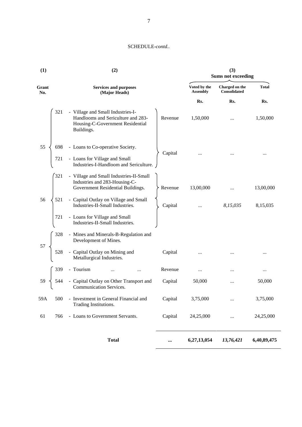| (1)              | (2)                                                                                                                       | (3)<br><b>Sums not exceeding</b> |                                 |                                |              |
|------------------|---------------------------------------------------------------------------------------------------------------------------|----------------------------------|---------------------------------|--------------------------------|--------------|
| Grant<br>No.     | <b>Services and purposes</b><br>(Major Heads)                                                                             |                                  | Voted by the<br><b>Assembly</b> | Charged on the<br>Consolidated | <b>Total</b> |
|                  |                                                                                                                           |                                  | Rs.                             | Rs.                            | Rs.          |
| 321              | - Village and Small Industries-I-<br>Handlooms and Sericulture and 283-<br>Housing-C-Government Residential<br>Buildings. | Revenue                          | 1,50,000                        |                                | 1,50,000     |
| 55<br>698<br>721 | - Loans to Co-operative Society.<br>- Loans for Village and Small                                                         | Capital                          |                                 |                                |              |
|                  | Industries-I-Handloom and Sericulture.                                                                                    |                                  |                                 |                                |              |
| 321              | - Village and Small Industries-II-Small<br>Industries and 283-Housing-C-<br>Government Residential Buildings.             | Revenue                          | 13,00,000                       |                                | 13,00,000    |
| 56<br>521        | - Capital Outlay on Village and Small<br>Industries-II-Small Industries.                                                  | Capital                          |                                 | 8,15,035                       | 8,15,035     |
| 721              | - Loans for Village and Small<br>Industries-II-Small Industries.                                                          |                                  |                                 |                                |              |
| 328<br>57        | - Mines and Minerals-B-Regulation and<br>Development of Mines.                                                            |                                  |                                 |                                |              |
| 528              | - Capital Outlay on Mining and<br>Metallurgical Industries.                                                               | Capital                          |                                 |                                |              |
| 339              | - Tourism                                                                                                                 | Revenue                          | $\cdots$                        |                                | $\cdots$     |
|                  | Capital Outlay on Other Transport and<br>Communication Services.                                                          | Capital                          | 50,000                          |                                | 50,000       |
| 59A<br>500       | - Investment in General Financial and<br>Trading Institutions.                                                            | Capital                          | 3,75,000                        |                                | 3,75,000     |
| 766<br>61        | - Loans to Government Servants.                                                                                           | Capital                          | 24,25,000                       | $\cdots$                       | 24,25,000    |
|                  | <b>Total</b>                                                                                                              | $\cdots$                         | 6,27,13,054                     | 13,76,421                      | 6,40,89,475  |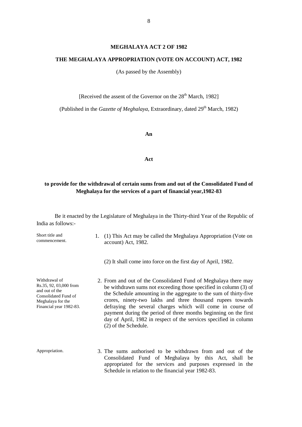#### **MEGHALAYA ACT 2 OF 1982**

#### **THE MEGHALAYA APPROPRIATION (VOTE ON ACCOUNT) ACT, 1982**

(As passed by the Assembly)

[Received the assent of the Governor on the  $28<sup>th</sup>$  March, 1982]

(Published in the *Gazette of Meghalaya*, Extraordinary, dated 29<sup>th</sup> March, 1982)

**An**

**Act**

#### **to provide for the withdrawal of certain sums from and out of the Consolidated Fund of Meghalaya for the services of a part of financial year,1982-83**

Be it enacted by the Legislature of Meghalaya in the Thirty-third Year of the Republic of India as follows:-

| Short title and<br>commencement.                                                                                                  | 1. (1) This Act may be called the Meghalaya Appropriation (Vote on<br>account) Act, 1982.                                                                                                                                                                                                                                                                                                                                                                                                             |
|-----------------------------------------------------------------------------------------------------------------------------------|-------------------------------------------------------------------------------------------------------------------------------------------------------------------------------------------------------------------------------------------------------------------------------------------------------------------------------------------------------------------------------------------------------------------------------------------------------------------------------------------------------|
|                                                                                                                                   | (2) It shall come into force on the first day of April, 1982.                                                                                                                                                                                                                                                                                                                                                                                                                                         |
| Withdrawal of<br>Rs.35, 92, 03,000 from<br>and out of the<br>Consolidated Fund of<br>Meghalaya for the<br>Financial year 1982-83. | 2. From and out of the Consolidated Fund of Meghalaya there may<br>be withdrawn sums not exceeding those specified in column (3) of<br>the Schedule amounting in the aggregate to the sum of thirty-five<br>crores, ninety-two lakhs and three thousand rupees towards<br>defraying the several charges which will come in course of<br>payment during the period of three months beginning on the first<br>day of April, 1982 in respect of the services specified in column<br>(2) of the Schedule. |
| Appropriation.                                                                                                                    | 3. The sums authorised to be withdrawn from and out of the<br>Consolidated Fund of Meghalaya by this Act, shall be<br>appropriated for the services and purposes expressed in the<br>Schedule in relation to the financial year 1982-83.                                                                                                                                                                                                                                                              |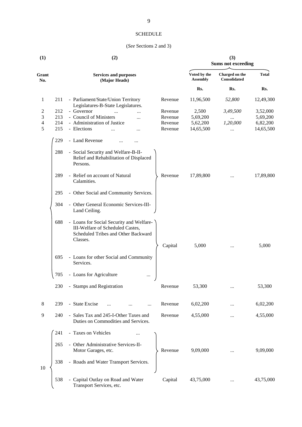#### **SCHEDULE**

#### (*See* Sections 2 and 3)

| (1)              |                          | (2)                                                                                                                             |                                          |                                            | (3)<br><b>Sums not exceeding</b> |                                               |  |  |
|------------------|--------------------------|---------------------------------------------------------------------------------------------------------------------------------|------------------------------------------|--------------------------------------------|----------------------------------|-----------------------------------------------|--|--|
| Grant<br>No.     |                          | <b>Services and purposes</b><br>(Major Heads)                                                                                   |                                          | Voted by the<br><b>Assembly</b>            | Charged on the<br>Consolidated   | <b>Total</b>                                  |  |  |
|                  |                          |                                                                                                                                 |                                          | Rs.                                        | Rs.                              | Rs.                                           |  |  |
| 1                | 211                      | - Parliament/State/Union Territory<br>Legislatures-B-State Legislatures.                                                        | Revenue                                  | 11,96,500                                  | 52,800                           | 12,49,300                                     |  |  |
| 2<br>3<br>4<br>5 | 212<br>213<br>214<br>215 | - Governor<br>- Council of Ministers<br>- Administration of Justice<br>- Elections<br>$\cdots$                                  | Revenue<br>Revenue<br>Revenue<br>Revenue | 2,500<br>5,69,200<br>5,62,200<br>14,65,500 | 3,49,500<br>1,20,000<br>$\cdots$ | 3,52,000<br>5,69,200<br>6,82,200<br>14,65,500 |  |  |
|                  | 229                      | - Land Revenue                                                                                                                  |                                          |                                            |                                  |                                               |  |  |
|                  | 288                      | - Social Security and Welfare-B-II-<br>Relief and Rehabilitation of Displaced<br>Persons.                                       |                                          |                                            |                                  |                                               |  |  |
|                  | 289                      | - Relief on account of Natural<br>Calamities.                                                                                   | Revenue                                  | 17,89,800                                  |                                  | 17,89,800                                     |  |  |
|                  | 295                      | - Other Social and Community Services.                                                                                          |                                          |                                            |                                  |                                               |  |  |
|                  | 304                      | - Other General Economic Services-III-<br>Land Ceiling.                                                                         |                                          |                                            |                                  |                                               |  |  |
|                  | 688                      | - Loans for Social Security and Welfare-<br>III-Welfare of Scheduled Castes,<br>Scheduled Tribes and Other Backward<br>Classes. | Capital                                  | 5,000                                      |                                  | 5,000                                         |  |  |
|                  | 695                      | - Loans for other Social and Community<br>Services.                                                                             |                                          |                                            |                                  |                                               |  |  |
|                  | 705                      | - Loans for Agriculture<br>$\cdots$                                                                                             |                                          |                                            |                                  |                                               |  |  |
|                  | 230                      | - Stamps and Registration                                                                                                       | Revenue                                  | 53,300                                     |                                  | 53,300                                        |  |  |
| 8                | 239                      | - State Excise                                                                                                                  | Revenue                                  | 6,02,200                                   |                                  | 6,02,200                                      |  |  |
| 9                | 240                      | - Sales Tax and 245-I-Other Taxes and<br>Duties on Commodities and Services.                                                    | Revenue                                  | 4,55,000                                   |                                  | 4,55,000                                      |  |  |
|                  | 241                      | - Taxes on Vehicles                                                                                                             |                                          |                                            |                                  |                                               |  |  |
|                  | 265                      | - Other Administrative Services-II-<br>Motor Garages, etc.                                                                      | Revenue                                  | 9,09,000                                   |                                  | 9,09,000                                      |  |  |
| 10               | 338                      | - Roads and Water Transport Services.                                                                                           |                                          |                                            |                                  |                                               |  |  |
|                  | 538                      | - Capital Outlay on Road and Water<br>Transport Services, etc.                                                                  | Capital                                  | 43,75,000                                  |                                  | 43,75,000                                     |  |  |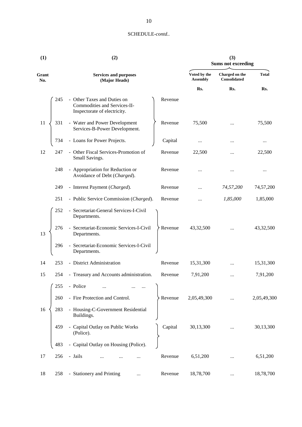| (1)          | (2) |                                                                                             |         | (3)<br><b>Sums not exceeding</b> |                                       |              |  |
|--------------|-----|---------------------------------------------------------------------------------------------|---------|----------------------------------|---------------------------------------|--------------|--|
| Grant<br>No. |     | <b>Services and purposes</b><br>(Major Heads)                                               |         | Voted by the<br><b>Assembly</b>  | Charged on the<br><b>Consolidated</b> | <b>Total</b> |  |
|              |     |                                                                                             |         | Rs.                              | Rs.                                   | Rs.          |  |
|              | 245 | - Other Taxes and Duties on<br>Commodities and Services-II-<br>Inspectorate of electricity. | Revenue |                                  |                                       |              |  |
| 11           | 331 | - Water and Power Development<br>Services-B-Power Development.                              | Revenue | 75,500                           |                                       | 75,500       |  |
|              | 734 | - Loans for Power Projects.                                                                 | Capital |                                  |                                       | $\cdots$     |  |
| 12           | 247 | - Other Fiscal Services-Promotion of<br>Small Savings.                                      | Revenue | 22,500                           |                                       | 22,500       |  |
|              | 248 | - Appropriation for Reduction or<br>Avoidance of Debt (Charged).                            | Revenue | $\cdots$                         |                                       | $\cdots$     |  |
|              | 249 | - Interest Payment (Charged).                                                               | Revenue |                                  | 74,57,200                             | 74,57,200    |  |
|              | 251 | - Public Service Commission (Charged).                                                      | Revenue |                                  | 1,85,000                              | 1,85,000     |  |
|              | 252 | - Secretariat-General Services-I-Civil<br>Departments.                                      |         |                                  |                                       |              |  |
| 13           | 276 | - Secretariat-Economic Services-I-Civil<br>Departments.                                     | Revenue | 43,32,500                        |                                       | 43,32,500    |  |
|              | 296 | - Secretariat-Economic Services-I-Civil<br>Departments.                                     |         |                                  |                                       |              |  |
| 14           | 253 | - District Administration                                                                   | Revenue | 15,31,300                        |                                       | 15,31,300    |  |
| 15           | 254 | - Treasury and Accounts administration.                                                     | Revenue | 7,91,200                         |                                       | 7,91,200     |  |
|              | 255 | - Police                                                                                    |         |                                  |                                       |              |  |
|              | 260 | - Fire Protection and Control.                                                              | Revenue | 2,05,49,300                      |                                       | 2,05,49,300  |  |
| 16           | 283 | - Housing-C-Government Residential<br>Buildings.                                            |         |                                  |                                       |              |  |
|              | 459 | - Capital Outlay on Public Works<br>(Police).                                               | Capital | 30,13,300                        |                                       | 30,13,300    |  |
|              | 483 | - Capital Outlay on Housing (Police).                                                       |         |                                  |                                       |              |  |
| 17           | 256 | - Jails<br>.                                                                                | Revenue | 6,51,200                         |                                       | 6,51,200     |  |
| 18           | 258 | - Stationery and Printing<br>                                                               | Revenue | 18,78,700                        |                                       | 18,78,700    |  |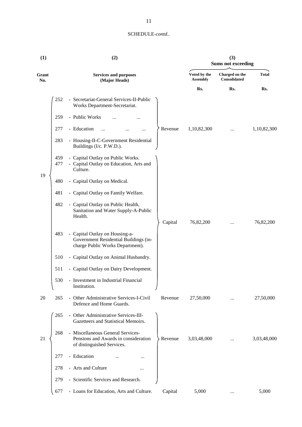| (1)          | (2)                                                                                                                       | (3)<br><b>Sums not exceeding</b> |                                       |              |  |
|--------------|---------------------------------------------------------------------------------------------------------------------------|----------------------------------|---------------------------------------|--------------|--|
| Grant<br>No. | <b>Services and purposes</b><br>(Major Heads)                                                                             | Voted by the<br><b>Assembly</b>  | Charged on the<br><b>Consolidated</b> | <b>Total</b> |  |
|              |                                                                                                                           | Rs.                              | Rs.                                   | Rs.          |  |
|              | - Secretariat-General Services-II-Public<br>252<br>Works Department-Secretariat.                                          |                                  |                                       |              |  |
|              | - Public Works<br>259                                                                                                     |                                  |                                       |              |  |
|              | - Education<br>277<br>Revenue                                                                                             | 1,10,82,300                      |                                       | 1,10,82,300  |  |
|              | - Housing-II-C-Government Residential<br>283<br>Buildings (I/c. P.W.D.).                                                  |                                  |                                       |              |  |
|              | - Capital Outlay on Public Works.<br>459<br>- Capital Outlay on Education, Arts and<br>477<br>Culture.                    |                                  |                                       |              |  |
| 19           | - Capital Outlay on Medical.<br>480                                                                                       |                                  |                                       |              |  |
|              | - Capital Outlay on Family Welfare.<br>481                                                                                |                                  |                                       |              |  |
|              | - Capital Outlay on Public Health,<br>482<br>Sanitation and Water Supply-A-Public<br>Health.<br>Capital                   | 76,82,200                        |                                       | 76,82,200    |  |
|              | - Capital Outlay on Housing-a-<br>483<br>Government Residential Buildings (in-<br>charge Public Works Department).        |                                  |                                       |              |  |
|              | - Capital Outlay on Animal Husbandry.<br>510                                                                              |                                  |                                       |              |  |
|              | 511<br>- Capital Outlay on Dairy Development.                                                                             |                                  |                                       |              |  |
|              | 530<br>- Investment in Industrial Financial<br>Institution.                                                               |                                  |                                       |              |  |
| 20           | - Other Administrative Services-I-Civil<br>265<br>Revenue<br>Defence and Home Guards.                                     | 27,50,000                        |                                       | 27,50,000    |  |
|              | 265<br>- Other Administrative Services-III-<br>Gazetteers and Statistical Memoirs.                                        |                                  |                                       |              |  |
| 21           | 268<br>- Miscellaneous General Services-<br>Pensions and Awards in consideration<br>Revenue<br>of distinguished Services. | 3,03,48,000                      |                                       | 3,03,48,000  |  |
|              | - Education<br>277                                                                                                        |                                  |                                       |              |  |
|              | - Arts and Culture<br>278<br>                                                                                             |                                  |                                       |              |  |
|              | - Scientific Services and Research.<br>279                                                                                |                                  |                                       |              |  |
|              | - Loans for Education, Arts and Culture.<br>Capital<br>677                                                                | 5,000                            |                                       | 5,000        |  |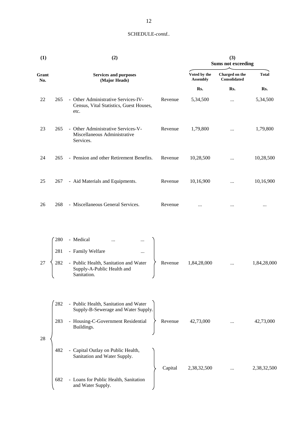| (1)          |     | (2)                                                                                    |         | (3)<br><b>Sums not exceeding</b> |                                |              |  |
|--------------|-----|----------------------------------------------------------------------------------------|---------|----------------------------------|--------------------------------|--------------|--|
| Grant<br>No. |     | <b>Services and purposes</b><br>(Major Heads)                                          |         | Voted by the<br><b>Assembly</b>  | Charged on the<br>Consolidated | <b>Total</b> |  |
|              |     |                                                                                        |         | Rs.                              | Rs.                            | Rs.          |  |
| 22           | 265 | - Other Administrative Services-IV-<br>Census, Vital Statistics, Guest Houses,<br>etc. | Revenue | 5,34,500                         | $\cdots$                       | 5,34,500     |  |
| 23           | 265 | - Other Administrative Services-V-<br>Miscellaneous Administrative<br>Services.        | Revenue | 1,79,800                         | $\cdots$                       | 1,79,800     |  |
| 24           | 265 | - Pension and other Retirement Benefits.                                               | Revenue | 10,28,500                        |                                | 10,28,500    |  |
| 25           | 267 | - Aid Materials and Equipments.                                                        | Revenue | 10,16,900                        |                                | 10,16,900    |  |
| 26           | 268 | - Miscellaneous General Services.                                                      | Revenue |                                  |                                |              |  |
|              |     |                                                                                        |         |                                  |                                |              |  |
|              | 280 | - Medical<br>$\ddotsc$                                                                 |         |                                  |                                |              |  |
|              | 281 | - Family Welfare<br>                                                                   |         |                                  |                                |              |  |
| 27           | 282 | - Public Health, Sanitation and Water<br>Supply-A-Public Health and<br>Sanitation.     | Revenue | 1,84,28,000                      | $\cdots$                       | 1,84,28,000  |  |
|              |     |                                                                                        |         |                                  |                                |              |  |
|              | 282 | - Public Health, Sanitation and Water<br>Supply-B-Sewerage and Water Supply.           |         |                                  |                                |              |  |
|              | 283 | - Housing-C-Government Residential<br>Buildings.                                       | Revenue | 42,73,000                        |                                | 42,73,000    |  |
| 28           |     |                                                                                        |         |                                  |                                |              |  |
|              | 482 | - Capital Outlay on Public Health,<br>Sanitation and Water Supply.                     |         |                                  |                                |              |  |
|              |     |                                                                                        | Capital | 2,38,32,500                      | $\cdots$                       | 2,38,32,500  |  |
|              | 682 | - Loans for Public Health, Sanitation                                                  |         |                                  |                                |              |  |

and Water Supply.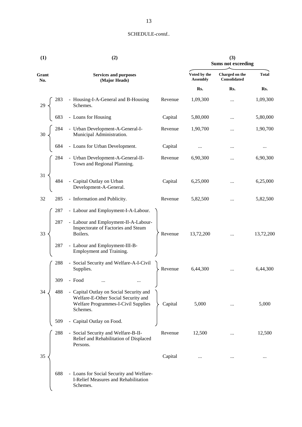| (1)          | (2)                                                                                                                                                |         |                                 | (3)<br><b>Sums not exceeding</b> |              |
|--------------|----------------------------------------------------------------------------------------------------------------------------------------------------|---------|---------------------------------|----------------------------------|--------------|
| Grant<br>No. | <b>Services and purposes</b><br>(Major Heads)                                                                                                      |         | Voted by the<br><b>Assembly</b> | Charged on the<br>Consolidated   | <b>Total</b> |
|              |                                                                                                                                                    |         | Rs.                             | Rs.                              | Rs.          |
|              | 283 - Housing-I-A-General and B-Housing<br>Schemes.<br>683 - Loans for Housing                                                                     | Revenue | 1,09,300                        |                                  | 1,09,300     |
|              |                                                                                                                                                    | Capital | 5,80,000                        | $\cdots$                         | 5,80,000     |
|              | $30 \begin{cases}\n284 - \text{Urban Development-A-General-I-Municipal Administration.} \\ 684 - \text{Loans for Urban Development.}\n\end{cases}$ | Revenue | 1,90,700                        |                                  | 1,90,700     |
|              |                                                                                                                                                    | Capital | $\ldots$                        |                                  |              |
| 284          | - Urban Development-A-General-II-<br>Town and Regional Planning.                                                                                   | Revenue | 6,90,300                        |                                  | 6,90,300     |
| 31<br>484    | - Capital Outlay on Urban<br>Development-A-General.                                                                                                | Capital | 6,25,000                        | $\cdots$                         | 6,25,000     |
| 32<br>285    | - Information and Publicity.                                                                                                                       | Revenue | 5,82,500                        | $\cdots$                         | 5,82,500     |
| 287          | - Labour and Employment-I-A-Labour.                                                                                                                |         |                                 |                                  |              |
| 287<br>33    | - Labour and Employment-II-A-Labour-<br>Inspectorate of Factories and Steam<br>Boilers.                                                            | Revenue | 13,72,200                       |                                  | 13,72,200    |
| 287          | - Labour and Employment-III-B-<br>Employment and Training.                                                                                         |         |                                 |                                  |              |
| 288          | - Social Security and Welfare-A-I-Civil<br>Supplies.                                                                                               | Revenue | 6,44,300                        |                                  | 6,44,300     |
| 309          | - Food                                                                                                                                             |         |                                 |                                  |              |
| 34<br>488    | - Capital Outlay on Social Security and<br>Welfare-E-Other Social Security and<br>Welfare Programmes-I-Civil Supplies<br>Schemes.                  | Capital | 5,000                           |                                  | 5,000        |
| 509          | Capital Outlay on Food.                                                                                                                            |         |                                 |                                  |              |
| 288          | - Social Security and Welfare-B-II-<br>Relief and Rehabilitation of Displaced<br>Persons.                                                          | Revenue | 12,500                          |                                  | 12,500       |
| 35           |                                                                                                                                                    | Capital |                                 |                                  |              |
| 688          | - Loans for Social Security and Welfare-<br>I-Relief Measures and Rehabilitation<br>Schemes.                                                       |         |                                 |                                  |              |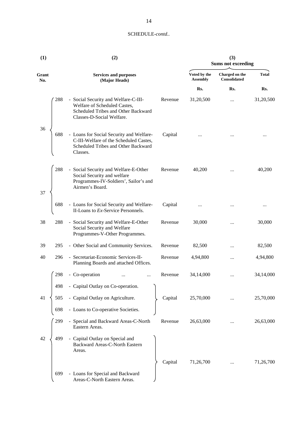| (1)          |     | (2)                                                                                                                                      | (3)<br><b>Sums not exceeding</b> |                                 |                                       |              |
|--------------|-----|------------------------------------------------------------------------------------------------------------------------------------------|----------------------------------|---------------------------------|---------------------------------------|--------------|
| Grant<br>No. |     | <b>Services and purposes</b><br>(Major Heads)                                                                                            |                                  | Voted by the<br><b>Assembly</b> | Charged on the<br><b>Consolidated</b> | <b>Total</b> |
|              |     |                                                                                                                                          |                                  | Rs.                             | Rs.                                   | Rs.          |
|              | 288 | - Social Security and Welfare-C-III-<br>Welfare of Scheduled Castes,<br>Scheduled Tribes and Other Backward<br>Classes-D-Social Welfare. | Revenue                          | 31,20,500                       |                                       | 31,20,500    |
| 36           | 688 | - Loans for Social Security and Welfare-<br>C-III-Welfare of the Scheduled Castes,<br>Scheduled Tribes and Other Backward<br>Classes.    | Capital                          |                                 |                                       |              |
| 37           | 288 | - Social Security and Welfare-E-Other<br>Social Security and welfare<br>Programmes-IV-Soldiers', Sailor's and<br>Airmen's Board.         | Revenue                          | 40,200                          |                                       | 40,200       |
|              | 688 | - Loans for Social Security and Welfare-<br>II-Loans to Ex-Service Personnels.                                                           | Capital                          |                                 |                                       |              |
| 38           | 288 | - Social Security and Welfare-E-Other<br>Social Security and Welfare<br>Programmes-V-Other Programmes.                                   | Revenue                          | 30,000                          |                                       | 30,000       |
| 39           | 295 | - Other Social and Community Services.                                                                                                   | Revenue                          | 82,500                          |                                       | 82,500       |
| 40           | 296 | - Secretariat-Economic Services-II-<br>Planning Boards and attached Offices.                                                             | Revenue                          | 4,94,800                        |                                       | 4,94,800     |
|              | 298 | - Co-operation                                                                                                                           | Revenue                          | 34,14,000                       |                                       | 34,14,000    |
|              | 498 | - Capital Outlay on Co-operation.                                                                                                        |                                  |                                 |                                       |              |
| 41           | 505 | - Capital Outlay on Agriculture.                                                                                                         | Capital                          | 25,70,000                       |                                       | 25,70,000    |
|              | 698 | - Loans to Co-operative Societies.                                                                                                       |                                  |                                 |                                       |              |
|              | 299 | - Special and Backward Areas-C-North<br>Eastern Areas.                                                                                   | Revenue                          | 26,63,000                       |                                       | 26,63,000    |
| 42           | 499 | - Capital Outlay on Special and<br>Backward Areas-C-North Eastern<br>Areas.                                                              | Capital                          | 71,26,700                       |                                       | 71,26,700    |
|              | 699 | - Loans for Special and Backward<br>Areas-C-North Eastern Areas.                                                                         |                                  |                                 |                                       |              |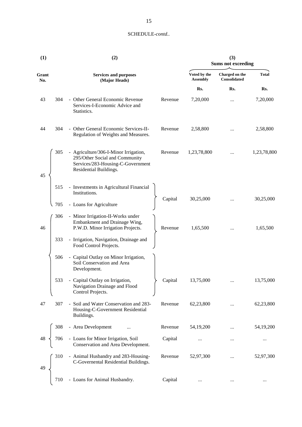| (1)          |     | (2)                                                                                                                                    | (3)<br><b>Sums not exceeding</b> |                                 |                                |              |
|--------------|-----|----------------------------------------------------------------------------------------------------------------------------------------|----------------------------------|---------------------------------|--------------------------------|--------------|
| Grant<br>No. |     | <b>Services and purposes</b><br>(Major Heads)                                                                                          |                                  | Voted by the<br><b>Assembly</b> | Charged on the<br>Consolidated | <b>Total</b> |
|              |     |                                                                                                                                        |                                  | Rs.                             | Rs.                            | Rs.          |
| 43           | 304 | - Other General Economic Revenue<br>Services-I-Economic Advice and<br>Statistics.                                                      | Revenue                          | 7,20,000                        |                                | 7,20,000     |
| 44           | 304 | - Other General Economic Services-II-<br>Regulation of Weights and Measures.                                                           | Revenue                          | 2,58,800                        |                                | 2,58,800     |
| 45           | 305 | - Agriculture/306-I-Minor Irrigation,<br>295/Other Social and Community<br>Services/283-Housing-C-Government<br>Residential Buildings. | Revenue                          | 1,23,78,800                     |                                | 1,23,78,800  |
|              | 515 | - Investments in Agricultural Financial<br>Institutions.                                                                               | Capital                          | 30,25,000                       |                                | 30,25,000    |
|              | 705 | - Loans for Agriculture                                                                                                                |                                  |                                 |                                |              |
| 46           | 306 | - Minor Irrigation-II-Works under<br>Embankment and Drainage Wing,<br>P.W.D. Minor Irrigation Projects.                                | Revenue                          | 1,65,500                        |                                | 1,65,500     |
|              | 333 | - Irrigation, Navigation, Drainage and<br>Food Control Projects.                                                                       |                                  |                                 |                                |              |
|              | 506 | - Capital Outlay on Minor Irrigation,<br>Soil Conservation and Area<br>Development.                                                    |                                  |                                 |                                |              |
|              | 533 | - Capital Outlay on Irrigation,<br>Navigation Drainage and Flood<br>Control Projects.                                                  | Capital                          | 13,75,000                       |                                | 13,75,000    |
| 47           | 307 | - Soil and Water Conservation and 283-<br>Housing-C-Government Residential<br>Buildings.                                               | Revenue                          | 62,23,800                       |                                | 62,23,800    |
|              | 308 | - Area Development<br>                                                                                                                 | Revenue                          | 54,19,200                       |                                | 54,19,200    |
|              | 706 | - Loans for Minor Irrigation, Soil<br>Conservation and Area Development.                                                               | Capital                          |                                 |                                | .            |
| 49           | 310 | - Animal Husbandry and 283-Housing-<br>C-Governental Residential Buildings.                                                            | Revenue                          | 52,97,300                       | $\cdots$                       | 52,97,300    |
|              | 710 | - Loans for Animal Husbandry.                                                                                                          | Capital                          | $\cdots$                        | $\cdots$                       |              |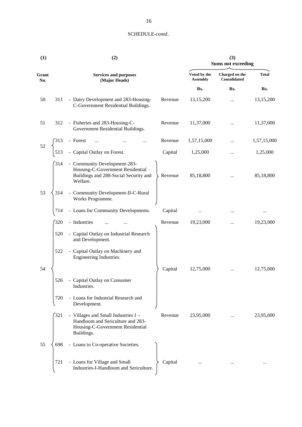| (1)          |     | (2)                                                                                                                        |         | (3)<br><b>Sums not exceeding</b> |                                       |              |  |
|--------------|-----|----------------------------------------------------------------------------------------------------------------------------|---------|----------------------------------|---------------------------------------|--------------|--|
| Grant<br>No. |     | <b>Services and purposes</b><br>(Major Heads)                                                                              |         | Voted by the<br><b>Assembly</b>  | Charged on the<br><b>Consolidated</b> | <b>Total</b> |  |
|              |     |                                                                                                                            |         | Rs.                              | Rs.                                   | Rs.          |  |
| 50           | 311 | - Dairy Development and 283-Housing-<br>C-Government Residential Buildings.                                                | Revenue | 13,15,200                        |                                       | 13,15,200    |  |
| 51           | 312 | - Fisheries and 283-Housing-C-<br>Government Residential Buildings.                                                        | Revenue | 11,37,000                        |                                       | 11,37,000    |  |
| 52           | 313 | - Forest<br>                                                                                                               | Revenue | 1,57,15,000                      |                                       | 1,57,15,000  |  |
|              | 513 | - Capital Outlay on Forest.                                                                                                | Capital | 1,25,000                         |                                       | 1,25,000     |  |
|              | 314 | - Community Development-283-<br>Housing-C-Government Residential<br>Buildings and 288-Social Security and<br>Welfare.      | Revenue | 85,18,800                        | $\ddotsc$                             | 85,18,800    |  |
| 53           | 314 | - Community Development-II-C-Rural<br>Works Programme.                                                                     |         |                                  |                                       |              |  |
|              | 714 | - Loans for Community Developments.                                                                                        | Capital |                                  |                                       |              |  |
|              | 320 | - Industries                                                                                                               | Revenue | 19,23,000                        |                                       | 19,23,000    |  |
|              | 520 | - Capital Outlay on Industrial Research<br>and Development.                                                                |         |                                  |                                       |              |  |
|              | 522 | Capital Outlay on Machinery and<br>$\blacksquare$<br>Engineering Industries.                                               |         |                                  |                                       |              |  |
| 54           |     |                                                                                                                            | Capital | 12,75,000                        |                                       | 12,75,000    |  |
|              | 526 | - Capital Outlay on Consumer<br>Industries.                                                                                |         |                                  |                                       |              |  |
|              | 720 | - Loans for Industrial Research and<br>Development.                                                                        |         |                                  |                                       |              |  |
|              | 321 | - Villages and Small Industries I -<br>Handloom and Sericulture and 283-<br>Housing-C-Government Residential<br>Buildings. | Revenue | 23,95,000                        |                                       | 23,95,000    |  |
| 55           | 698 | - Loans to Co-operative Societies.                                                                                         |         |                                  |                                       |              |  |
|              | 721 | - Loans for Village and Small<br>Industries-I-Handloom and Sericulture.                                                    | Capital | $\cdots$                         |                                       |              |  |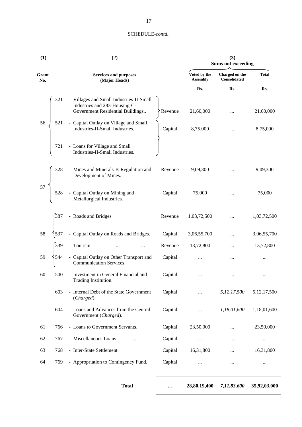| (1)          | (2) |                                                                                                               |         | (3)<br><b>Sums not exceeding</b> |                                       |                |  |
|--------------|-----|---------------------------------------------------------------------------------------------------------------|---------|----------------------------------|---------------------------------------|----------------|--|
| Grant<br>No. |     | <b>Services and purposes</b><br>(Major Heads)                                                                 |         | Voted by the<br><b>Assembly</b>  | Charged on the<br><b>Consolidated</b> | <b>Total</b>   |  |
|              |     |                                                                                                               |         | Rs.                              | Rs.                                   | Rs.            |  |
|              | 321 | - Villages and Small Industries-II-Small<br>Industries and 283-Housing-C-<br>Government Residential Buildings | Revenue | 21,60,000                        |                                       | 21,60,000      |  |
| 56           | 521 | - Capital Outlay on Village and Small<br>Industries-II-Small Industries.                                      | Capital | 8,75,000                         | $\cdots$                              | 8,75,000       |  |
|              | 721 | - Loans for Village and Small<br>Industries-II-Small Industries.                                              |         |                                  |                                       |                |  |
|              | 328 | - Mines and Minerals-B-Regulation and<br>Development of Mines.                                                | Revenue | 9,09,300                         | $\cdots$                              | 9,09,300       |  |
| 57           | 528 | - Capital Outlay on Mining and<br>Metallurgical Industries.                                                   | Capital | 75,000                           |                                       | 75,000         |  |
|              | 387 | - Roads and Bridges                                                                                           | Revenue | 1,03,72,500                      |                                       | 1,03,72,500    |  |
| 58           | 537 | - Capital Outlay on Roads and Bridges.                                                                        | Capital | 3,06,55,700                      |                                       | 3,06,55,700    |  |
|              | 339 | - Tourism                                                                                                     | Revenue | 13,72,800                        |                                       | 13,72,800      |  |
| 59           | 544 | - Capital Outlay on Other Transport and<br>Communication Services.                                            | Capital | $\cdots$                         |                                       |                |  |
| 60           | 500 | - Investment in General Financial and<br>Trading Institution.                                                 | Capital | $\cdots$                         |                                       |                |  |
|              | 603 | - Internal Debt of the State Government<br>(Charged).                                                         | Capital |                                  | 5,12,17,500                           | 5, 12, 17, 500 |  |
|              | 604 | - Loans and Advances from the Central<br>Government (Charged).                                                | Capital | .                                | 1,18,01,600                           | 1,18,01,600    |  |
| 61           | 766 | - Loans to Government Servants.                                                                               | Capital | 23,50,000                        | $\cdots$                              | 23,50,000      |  |
| 62           | 767 | - Miscellaneous Loans<br>$\cdots$                                                                             | Capital | $\cdots$                         | $\cdots$                              | $\cdots$       |  |
| 63           | 768 | - Inter-State Settlement                                                                                      | Capital | 16,31,800                        | $\cdots$                              | 16,31,800      |  |
| 64           | 769 | - Appropriation to Contingency Fund.                                                                          | Capital | $\ldots$                         | $\cdots$                              |                |  |

**Total ... 28,80,19,400** *7,11,83,600* **35,92,03,000**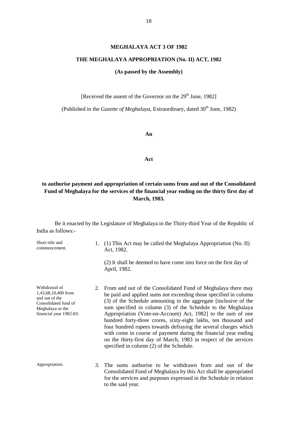#### **MEGHALAYA ACT 3 OF 1982**

#### **THE MEGHALAYA APPROPRIATION (No. II) ACT, 1982**

#### **(As passed by the Assembly)**

[Received the assent of the Governor on the 29<sup>th</sup> June, 1982]

(Published in the *Gazette of Meghalaya*, Extraordinary, dated 30<sup>th</sup> June, 1982)

**An**

**Act**

#### **to authorise payment and appropriation of certain sums from and out of the Consolidated Fund of Meghalaya for the services of the financial year ending on the thirty first day of March, 1983.**

Be it enacted by the Legislature of Meghalaya in the Thirty-third Year of the Republic of India as follows:-

| Short title and<br>commencement.                                                                                              |    | 1. (1) This Act may be called the Meghalaya Appropriation (No. II)<br>Act, 1982.<br>(2) It shall be deemed to have come into force on the first day of<br>April, 1982.                                                                                                                                                                                                                                                                                                                                                                                                                                                                                            |
|-------------------------------------------------------------------------------------------------------------------------------|----|-------------------------------------------------------------------------------------------------------------------------------------------------------------------------------------------------------------------------------------------------------------------------------------------------------------------------------------------------------------------------------------------------------------------------------------------------------------------------------------------------------------------------------------------------------------------------------------------------------------------------------------------------------------------|
| Withdrawal of<br>1,43,68,10,400 from<br>and out of the<br>Consolidated fund of<br>Meghalaya or the<br>financial year 1982-83. |    | 2. From and out of the Consolidated Fund of Meghalaya there may<br>be paid and applied sums not exceeding those specified in column<br>(3) of the Schedule amounting in the aggregate [inclusive of the<br>sum specified in column (3) of the Schedule to the Meghalaya<br>Appropriation (Vote-on-Account) Act, 1982] to the sum of one<br>hundred forty-three crores, sixty-eight lakhs, ten thousand and<br>four hundred rupees towards defraying the several charges which<br>with come in course of payment during the financial year ending<br>on the thirty-first day of March, 1983 in respect of the services<br>specified in column (2) of the Schedule. |
| Appropriation.                                                                                                                | 3. | The sums authorise to be withdrawn from and out of the<br>Consolidated Fund of Meghalaya by this Act shall be appropriated<br>for the services and purposes expressed in the Schedule in relation<br>to the said year.                                                                                                                                                                                                                                                                                                                                                                                                                                            |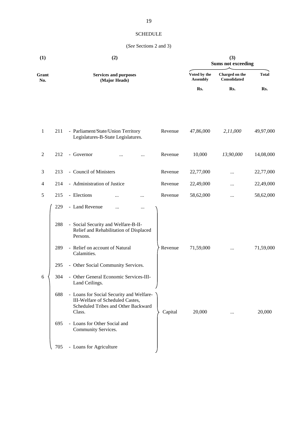#### **SCHEDULE**

#### (*See* Sections 2 and 3)

| (1)          |     | (2)                                                                                                                           | (3)<br><b>Sums not exceeding</b> |                                 |                                |              |
|--------------|-----|-------------------------------------------------------------------------------------------------------------------------------|----------------------------------|---------------------------------|--------------------------------|--------------|
| Grant<br>No. |     | <b>Services and purposes</b><br>(Major Heads)                                                                                 |                                  | Voted by the<br><b>Assembly</b> | Charged on the<br>Consolidated | <b>Total</b> |
|              |     |                                                                                                                               |                                  | Rs.                             | Rs.                            | Rs.          |
|              |     |                                                                                                                               |                                  |                                 |                                |              |
| $\mathbf{1}$ | 211 | - Parliament/State/Union Territory<br>Legislatures-B-State Legislatures.                                                      | Revenue                          | 47,86,000                       | 2,11,000                       | 49,97,000    |
| 2            | 212 | - Governor                                                                                                                    | Revenue                          | 10,000                          | 13,90,000                      | 14,08,000    |
| 3            | 213 | - Council of Ministers                                                                                                        | Revenue                          | 22,77,000                       |                                | 22,77,000    |
| 4            | 214 | - Administration of Justice                                                                                                   | Revenue                          | 22,49,000                       | $\cdots$                       | 22,49,000    |
| 5            | 215 | - Elections<br><br>$\cdots$                                                                                                   | Revenue                          | 58,62,000                       |                                | 58,62,000    |
|              | 229 | - Land Revenue<br><br>$\cdots$                                                                                                |                                  |                                 |                                |              |
|              | 288 | - Social Security and Welfare-B-II-<br>Relief and Rehabilitation of Displaced<br>Persons.                                     |                                  |                                 |                                |              |
|              | 289 | - Relief on account of Natural<br>Calamities.                                                                                 | Revenue                          | 71,59,000                       |                                | 71,59,000    |
|              | 295 | - Other Social Community Services.                                                                                            |                                  |                                 |                                |              |
| 6            | 304 | - Other General Economic Services-III-<br>Land Ceilings.                                                                      |                                  |                                 |                                |              |
|              | 688 | - Loans for Social Security and Welfare-<br>III-Welfare of Scheduled Castes,<br>Scheduled Tribes and Other Backward<br>Class. | Capital                          | 20,000                          | $\cdots$                       | 20,000       |
|              | 695 | - Loans for Other Social and<br>Community Services.                                                                           |                                  |                                 |                                |              |
|              | 705 | - Loans for Agriculture                                                                                                       |                                  |                                 |                                |              |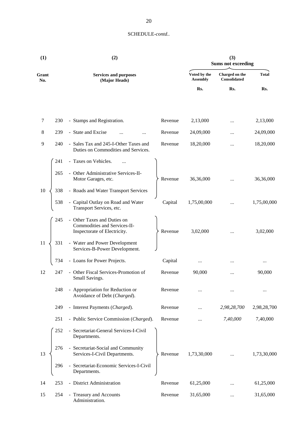| (1)          |     | (2)                                                                                         |         |                                 | (3)<br><b>Sums not exceeding</b> |              |
|--------------|-----|---------------------------------------------------------------------------------------------|---------|---------------------------------|----------------------------------|--------------|
| Grant<br>No. |     | <b>Services and purposes</b><br>(Major Heads)                                               |         | Voted by the<br><b>Assembly</b> | Charged on the<br>Consolidated   | <b>Total</b> |
|              |     |                                                                                             |         | Rs.                             | Rs.                              | Rs.          |
| 7            | 230 | - Stamps and Registration.                                                                  | Revenue | 2,13,000                        |                                  | 2,13,000     |
| 8            | 239 | - State and Excise                                                                          | Revenue | 24,09,000                       | .                                | 24,09,000    |
| 9            | 240 | - Sales Tax and 245-I-Other Taxes and<br>Duties on Commodities and Services.                | Revenue | 18,20,000                       |                                  | 18,20,000    |
|              | 241 | - Taxes on Vehicles.                                                                        |         |                                 |                                  |              |
|              | 265 | - Other Administrative Services-II-<br>Motor Garages, etc.                                  | Revenue | 36,36,000                       |                                  | 36,36,000    |
| 10           | 338 | - Roads and Water Transport Services                                                        |         |                                 |                                  |              |
|              | 538 | - Capital Outlay on Road and Water<br>Transport Services, etc.                              | Capital | 1,75,00,000                     |                                  | 1,75,00,000  |
|              | 245 | - Other Taxes and Duties on<br>Commodities and Services-II-<br>Inspectorate of Electricity. | Revenue | 3,02,000                        |                                  | 3,02,000     |
| 11           | 331 | - Water and Power Development<br>Services-B-Power Development.                              |         |                                 |                                  |              |
|              | 734 | - Loans for Power Projects.                                                                 | Capital |                                 |                                  |              |
| 12           | 247 | - Other Fiscal Services-Promotion of<br>Small Savings.                                      | Revenue | 90,000                          | $\ddotsc$                        | 90,000       |
|              | 248 | - Appropriation for Reduction or<br>Avoidance of Debt (Charged).                            | Revenue |                                 |                                  |              |
|              | 249 | - Interest Payments (Charged).                                                              | Revenue |                                 | 2,98,28,700                      | 2,98,28,700  |
|              | 251 | - Public Service Commission (Charged).                                                      | Revenue |                                 | 7,40,000                         | 7,40,000     |
|              | 252 | - Secretariat-General Services-I-Civil<br>Departments.                                      |         |                                 |                                  |              |
| 13           | 276 | - Secretariat-Social and Community<br>Services-I-Civil Departments.                         | Revenue | 1,73,30,000                     | $\cdots$                         | 1,73,30,000  |
|              | 296 | - Secretariat-Economic Services-I-Civil<br>Departments.                                     |         |                                 |                                  |              |
| 14           | 253 | - District Administration                                                                   | Revenue | 61,25,000                       |                                  | 61,25,000    |
| 15           | 254 | - Treasury and Accounts<br>Administration.                                                  | Revenue | 31,65,000                       |                                  | 31,65,000    |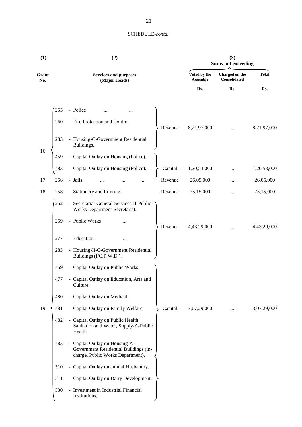| (1)          |     | (2)                                                                                                          |                                 | (3)<br><b>Sums not exceeding</b> |              |
|--------------|-----|--------------------------------------------------------------------------------------------------------------|---------------------------------|----------------------------------|--------------|
| Grant<br>No. |     | <b>Services and purposes</b><br>(Major Heads)                                                                | Voted by the<br><b>Assembly</b> | Charged on the<br>Consolidated   | <b>Total</b> |
|              |     |                                                                                                              | Rs.                             | Rs.                              | Rs.          |
|              | 255 | - Police                                                                                                     |                                 |                                  |              |
|              | 260 | - Fire Protection and Control<br>Revenue                                                                     | 8,21,97,000                     |                                  | 8,21,97,000  |
|              | 283 | - Housing-C-Government Residential<br>Buildings.                                                             |                                 |                                  |              |
| 16           | 459 | - Capital Outlay on Housing (Police).                                                                        |                                 |                                  |              |
|              | 483 | - Capital Outlay on Housing (Police).<br>Capital                                                             | 1,20,53,000                     | $\ddotsc$                        | 1,20,53,000  |
| 17           | 256 | - Jails<br>Revenue                                                                                           | 26,05,000                       |                                  | 26,05,000    |
| 18           | 258 | - Stationery and Printing.<br>Revenue                                                                        | 75,15,000                       | $\cdots$                         | 75,15,000    |
|              | 252 | - Secretariat-General-Services-II-Public<br>Works Department-Secretariat.                                    |                                 |                                  |              |
|              | 259 | - Public Works<br>Revenue                                                                                    | 4,43,29,000                     |                                  | 4,43,29,000  |
|              | 277 | - Education<br>                                                                                              |                                 |                                  |              |
|              | 283 | - Housing-II-C-Government Residential<br>Buildings (I/C.P.W.D.).                                             |                                 |                                  |              |
|              | 459 | - Capital Outlay on Public Works.                                                                            |                                 |                                  |              |
|              | 477 | - Capital Outlay on Education, Arts and<br>Culture.                                                          |                                 |                                  |              |
|              | 480 | - Capital Outlay on Medical.                                                                                 |                                 |                                  |              |
| 19           | 481 | - Capital Outlay on Family Welfare.<br>Capital                                                               | 3,07,29,000                     | $\cdots$                         | 3,07,29,000  |
|              | 482 | - Capital Outlay on Public Health<br>Sanitation and Water, Supply-A-Public<br>Health.                        |                                 |                                  |              |
|              | 483 | - Capital Outlay on Housing-A-<br>Government Residential Buildings (in-<br>charge, Public Works Department). |                                 |                                  |              |
|              | 510 | - Capital Outlay on animal Husbandry.                                                                        |                                 |                                  |              |
|              | 511 | - Capital Outlay on Dairy Development.                                                                       |                                 |                                  |              |
|              | 530 | - Investment in Industrial Financial<br>Institutions.                                                        |                                 |                                  |              |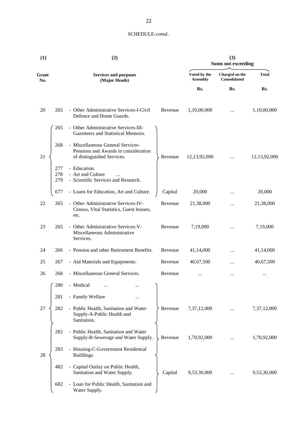| (1)          |                   | (2)                                                                                                     | (3)<br><b>Sums not exceeding</b> |                                 |                                       |              |
|--------------|-------------------|---------------------------------------------------------------------------------------------------------|----------------------------------|---------------------------------|---------------------------------------|--------------|
| Grant<br>No. |                   | <b>Services and purposes</b><br>(Major Heads)                                                           |                                  | Voted by the<br><b>Assembly</b> | Charged on the<br><b>Consolidated</b> | <b>Total</b> |
|              |                   |                                                                                                         |                                  | Rs.                             | Rs.                                   | Rs.          |
| 20           | 265               | - Other Administrative Services-I-Civil<br>Defence and Home Guards.                                     | Revenue                          | 1,10,00,000                     |                                       | 1,10,00,000  |
|              | 265               | - Other Administrative Services-III-<br>Gazetteers and Statistical Memoirs.                             |                                  |                                 |                                       |              |
| 21           | 268               | - Miscellaneous General Services-<br>Pensions and Awards in consideration<br>of distinguished Services. | Revenue                          | 12,13,92,000                    |                                       | 12,13,92,000 |
|              | 277<br>278<br>279 | - Education.<br>- Art and Culture<br>- Scientific Services and Research.                                |                                  |                                 |                                       |              |
|              | 677               | - Loans for Education, Art and Culture.                                                                 | Capital                          | 20,000                          |                                       | 20,000       |
| 22           | 265               | - Other Administrative Services-IV-<br>Census, Vital Statistics, Guest houses,<br>etc.                  | Revenue                          | 21,38,000                       |                                       | 21,38,000    |
| 23           | 265               | - Other Administrative Services-V-<br>Miscellaneous Administrative<br>Services.                         | Revenue                          | 7,19,000                        |                                       | 7,19,000     |
| 24           | 266               | - Pension and other Retirement Benefits.                                                                | Revenue                          | 41,14,000                       |                                       | 41,14,000    |
| 25           | 267               | - Aid Materials and Equipments.                                                                         | Revenue                          | 40,67,500                       |                                       | 40,67,500    |
| 26           | 268               | - Miscellaneous General Services.                                                                       | Revenue                          |                                 |                                       |              |
|              | 280               | - Medical<br>$\cdots$<br>$\cdots$                                                                       |                                  |                                 |                                       |              |
|              | 281               | - Family Welfare<br>                                                                                    |                                  |                                 |                                       |              |
| 27           | 282               | - Public Health, Sanitation and Water<br>Supply-A-Public Health and<br>Sanitation.                      | Revenue                          | 7,37,12,000                     |                                       | 7,37,12,000  |
|              | 282               | - Public Health, Sanitation and Water<br>Supply-B-Sewerage and Water Supply.                            | Revenue                          | 1,70,92,000                     |                                       | 1,70,92,000  |
| 28           | 283               | - Housing-C-Government Residential<br>Buildings.                                                        |                                  |                                 |                                       |              |
|              | 482               | - Capital Outlay on Public Health,<br>Sanitation and Water Supply.                                      | Capital                          | 9,53,30,000                     |                                       | 9,53,30,000  |
|              | 682               | - Loan for Public Health, Sanitation and<br>Water Supply.                                               |                                  |                                 |                                       |              |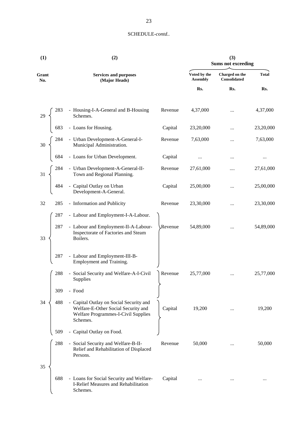| (1)          | (2)                                                                                                                                      |         |                                 |                                | <b>Sums not exceeding</b> |
|--------------|------------------------------------------------------------------------------------------------------------------------------------------|---------|---------------------------------|--------------------------------|---------------------------|
| Grant<br>No. | <b>Services and purposes</b><br>(Major Heads)                                                                                            |         | Voted by the<br><b>Assembly</b> | Charged on the<br>Consolidated | <b>Total</b>              |
|              |                                                                                                                                          |         | Rs.                             | Rs.                            | Rs.                       |
|              | - Housing-I-A-General and B-Housing<br>283<br>Schemes.                                                                                   | Revenue | 4,37,000                        | $\cdots$                       | 4,37,000                  |
|              | - Loans for Housing.<br>683                                                                                                              | Capital | 23,20,000                       |                                | 23,20,000                 |
| 30           | - Urban Development-A-General-I-<br>Municipal Administration.<br>- Loans for Urban Development.<br>284                                   | Revenue | 7,63,000                        |                                | 7,63,000                  |
|              | 684                                                                                                                                      | Capital | $\ddotsc$                       |                                | $\cdots$                  |
| 31           | - Urban Development-A-General-II-<br>Town and Regional Planning.<br>284                                                                  | Revenue | 27,61,000                       | .                              | 27,61,000                 |
|              | - Capital Outlay on Urban<br>484<br>Development-A-General.                                                                               | Capital | 25,00,000                       | $\cdots$                       | 25,00,000                 |
| 32           | - Information and Publicity<br>285                                                                                                       | Revenue | 23,30,000                       | $\cdots$                       | 23,30,000                 |
|              | - Labour and Employment-I-A-Labour.<br>287                                                                                               |         |                                 |                                |                           |
| 33           | - Labour and Employment-II-A-Labour-<br>287<br>Inspectorate of Factories and Steam<br>Boilers.                                           | Revenue | 54,89,000                       |                                | 54,89,000                 |
|              | - Labour and Employment-III-B-<br>287<br>Employment and Training.                                                                        |         |                                 |                                |                           |
|              | - Social Security and Welfare-A-I-Civil<br>288<br>Supplies                                                                               | Revenue | 25,77,000                       | $\cdots$                       | 25,77,000                 |
|              | 309<br>- Food                                                                                                                            |         |                                 |                                |                           |
| 34           | 488<br>- Capital Outlay on Social Security and<br>Welfare-E-Other Social Security and<br>Welfare Programmes-I-Civil Supplies<br>Schemes. | Capital | 19,200                          | $\cdots$                       | 19,200                    |
|              | - Capital Outlay on Food.<br>509                                                                                                         |         |                                 |                                |                           |
|              | 288<br>- Social Security and Welfare-B-II-<br>Relief and Rehabilitation of Displaced<br>Persons.                                         | Revenue | 50,000                          |                                | 50,000                    |
| 35           |                                                                                                                                          |         |                                 |                                |                           |
|              | - Loans for Social Security and Welfare-<br>688<br>I-Relief Measures and Rehabilitation<br>Schemes.                                      | Capital |                                 |                                | $\cdots$                  |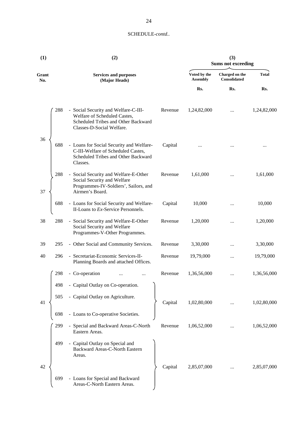| (1)          |     | (2)                                                                                                                                      |                                 | (3)<br><b>Sums not exceeding</b>      |              |  |  |
|--------------|-----|------------------------------------------------------------------------------------------------------------------------------------------|---------------------------------|---------------------------------------|--------------|--|--|
| Grant<br>No. |     | <b>Services and purposes</b><br>(Major Heads)                                                                                            | Voted by the<br><b>Assembly</b> | Charged on the<br><b>Consolidated</b> | <b>Total</b> |  |  |
|              |     |                                                                                                                                          | Rs.                             | Rs.                                   | Rs.          |  |  |
|              | 288 | - Social Security and Welfare-C-III-<br>Welfare of Scheduled Castes,<br>Scheduled Tribes and Other Backward<br>Classes-D-Social Welfare. | Revenue<br>1,24,82,000          |                                       | 1,24,82,000  |  |  |
| 36           | 688 | - Loans for Social Security and Welfare-<br>C-III-Welfare of Scheduled Castes,<br>Scheduled Tribes and Other Backward<br>Classes.        | Capital                         |                                       |              |  |  |
| 37           | 288 | - Social Security and Welfare-E-Other<br>Social Security and Welfare<br>Programmes-IV-Soldiers', Sailors, and<br>Airmen's Board.         | 1,61,000<br>Revenue             |                                       | 1,61,000     |  |  |
|              | 688 | - Loans for Social Security and Welfare-<br>II-Loans to Ex-Service Personnels.                                                           | Capital<br>10,000               |                                       | 10,000       |  |  |
| 38           | 288 | - Social Security and Welfare-E-Other<br>Social Security and Welfare<br>Programmes-V-Other Programmes.                                   | 1,20,000<br>Revenue             |                                       | 1,20,000     |  |  |
| 39           | 295 | - Other Social and Community Services.                                                                                                   | 3,30,000<br>Revenue             | $\ddotsc$                             | 3,30,000     |  |  |
| 40           | 296 | - Secretariat-Economic Services-II-<br>Planning Boards and attached Offices.                                                             | Revenue<br>19,79,000            |                                       | 19,79,000    |  |  |
|              | 298 | - Co-operation                                                                                                                           | 1,36,56,000<br>Revenue          |                                       | 1,36,56,000  |  |  |
|              | 498 | - Capital Outlay on Co-operation.                                                                                                        |                                 |                                       |              |  |  |
| 41           | 505 | - Capital Outlay on Agriculture.                                                                                                         | Capital<br>1,02,80,000          |                                       | 1,02,80,000  |  |  |
|              | 698 | - Loans to Co-operative Societies.                                                                                                       |                                 |                                       |              |  |  |
|              | 299 | - Special and Backward Areas-C-North<br>Eastern Areas.                                                                                   | Revenue<br>1,06,52,000          |                                       | 1,06,52,000  |  |  |
|              | 499 | - Capital Outlay on Special and<br>Backward Areas-C-North Eastern<br>Areas.                                                              |                                 |                                       |              |  |  |
| 42           |     |                                                                                                                                          | Capital<br>2,85,07,000          |                                       | 2,85,07,000  |  |  |
|              | 699 | - Loans for Special and Backward<br>Areas-C-North Eastern Areas.                                                                         |                                 |                                       |              |  |  |

#### 24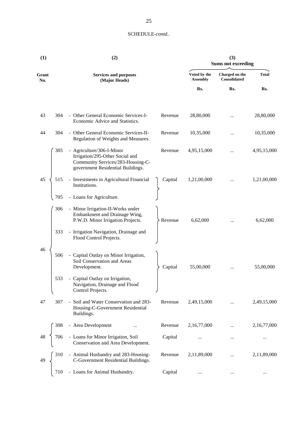| (1)          |            | (2)                                                                                                                                              | (3)<br><b>Sums not exceeding</b> |                                 |                                       |              |
|--------------|------------|--------------------------------------------------------------------------------------------------------------------------------------------------|----------------------------------|---------------------------------|---------------------------------------|--------------|
| Grant<br>No. |            | <b>Services and purposes</b><br>(Major Heads)                                                                                                    |                                  | Voted by the<br><b>Assembly</b> | Charged on the<br><b>Consolidated</b> | <b>Total</b> |
|              |            |                                                                                                                                                  |                                  | Rs.                             | Rs.                                   | Rs.          |
| 43           | 304        | - Other General Economic Services-I-<br>Economic Advice and Statistics.                                                                          | Revenue                          | 28,80,000                       |                                       | 28,80,000    |
| 44           | 304        | - Other General Economic Services-II-<br>Regulation of Weights and Measures.                                                                     | Revenue                          | 10,35,000                       |                                       | 10,35,000    |
|              | 305        | - Agriculture/306-I-Minor<br>Irrigation/295-Other Social and<br>Community Services/283-Housing-C-<br>government Residential Buildings.           | Revenue                          | 4,95,15,000                     |                                       | 4,95,15,000  |
| 45           | 515        | - Investments in Agricultural Financial<br>Institutions.                                                                                         | Capital                          | 1,21,00,000                     |                                       | 1,21,00,000  |
|              | 705        | - Loans for Agriculture.                                                                                                                         |                                  |                                 |                                       |              |
|              | 306<br>333 | - Minor Irrigation-II-Works under<br>Embankment and Drainage Wing,<br>P.W.D. Minor Irrigation Projects.<br>- Irrigation Navigation, Drainage and | Revenue                          | 6,62,000                        |                                       | 6,62,000     |
|              |            | Flood Control Projects.                                                                                                                          |                                  |                                 |                                       |              |
| 46           | 506        | - Capital Outlay on Minor Irrigation,<br>Soil Conservation and Areas<br>Development.                                                             | Capital                          | 55,00,000                       |                                       | 55,00,000    |
|              | 533        | - Capital Outlay on Irrigation,<br>Navigation, Drainage and Flood<br>Control Projects.                                                           |                                  |                                 |                                       |              |
| 47           | 307        | - Soil and Water Conservation and 283-<br>Housing-C-Government Residential<br>Buildings.                                                         | Revenue                          | 2,49,15,000                     |                                       | 2,49,15,000  |
|              | 308        | - Area Development<br>                                                                                                                           | Revenue                          | 2,16,77,000                     |                                       | 2,16,77,000  |
| 48           | 706        | - Loans for Minor Irrigation, Soil<br>Conservation and Area Development.                                                                         | Capital                          |                                 |                                       |              |
| 49           | 310        | - Animal Husbandry and 283-Housing-<br>C-Government Residential Buildings.                                                                       | Revenue                          | 2,11,89,000                     |                                       | 2,11,89,000  |
|              | 710        | - Loans for Animal Husbandry.                                                                                                                    | Capital                          |                                 | $\cdots$                              |              |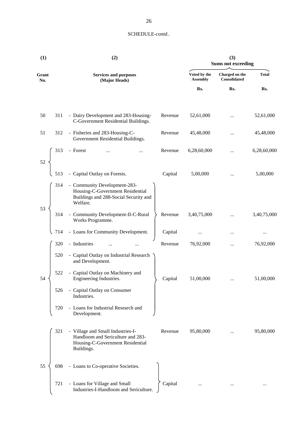| (1)          |                   | (2)                                                                                                                                                             |         | (3)<br><b>Sums not exceeding</b> |                                       |              |  |
|--------------|-------------------|-----------------------------------------------------------------------------------------------------------------------------------------------------------------|---------|----------------------------------|---------------------------------------|--------------|--|
| Grant<br>No. |                   | <b>Services and purposes</b><br>(Major Heads)                                                                                                                   |         | Voted by the<br><b>Assembly</b>  | Charged on the<br><b>Consolidated</b> | <b>Total</b> |  |
|              |                   |                                                                                                                                                                 |         | Rs.                              | Rs.                                   | Rs.          |  |
| 50           | 311               | - Dairy Development and 283-Housing-<br>C-Government Residential Buildings.                                                                                     | Revenue | 52,61,000                        |                                       | 52,61,000    |  |
| 51           | 312               | - Fisheries and 283-Housing-C-<br>Government Residential Buildings.                                                                                             | Revenue | 45,48,000                        |                                       | 45,48,000    |  |
|              | 313               | - Forest                                                                                                                                                        | Revenue | 6,28,60,000                      |                                       | 6,28,60,000  |  |
| 52           | 513<br>314        | - Capital Outlay on Forests.<br>- Community Development-283-<br>Housing-C-Government Residential<br>Buildings and 288-Social Security and<br>Welfare.           | Capital | 5,00,000                         |                                       | 5,00,000     |  |
| 53           | 314               | - Community Development-II-C-Rural<br>Works Programme.                                                                                                          | Revenue | 3,40,75,000                      |                                       | 3,40,75,000  |  |
|              | 714               | - Loans for Community Development.                                                                                                                              | Capital |                                  |                                       |              |  |
|              | 320               | - Industries<br>                                                                                                                                                | Revenue | 76,92,000                        |                                       | 76,92,000    |  |
| 54           | 520<br>522<br>526 | - Capital Outlay on Industrial Research<br>and Development.<br>- Capital Outlay on Machinery and<br>Engineering Industries.<br>- Capital Outlay on Consumer     | Capital | 51,00,000                        | $\cdots$                              | 51,00,000    |  |
|              | 720<br>321        | Industries.<br>- Loans for Industrial Research and<br>Development.<br>- Village and Small Industries-I-<br>Handloom and Sericulture and 283-                    | Revenue | 95,80,000                        |                                       | 95,80,000    |  |
| 55           | 698<br>721        | Housing-C-Government Residential<br>Buildings.<br>- Loans to Co-operative Societies.<br>- Loans for Village and Small<br>Industries-I-Handloom and Sericulture. | Capital | $\cdots$                         | $\ddotsc$                             |              |  |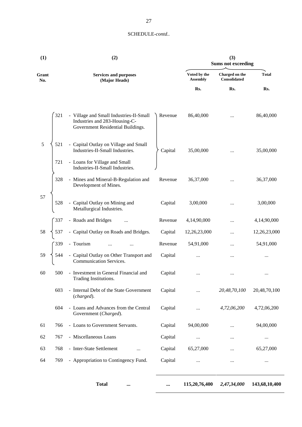| (1)          |     | (2)                                                                                                           |         | (3)<br><b>Sums not exceeding</b> |                                |              |  |  |
|--------------|-----|---------------------------------------------------------------------------------------------------------------|---------|----------------------------------|--------------------------------|--------------|--|--|
| Grant<br>No. |     | <b>Services and purposes</b><br>(Major Heads)                                                                 |         | Voted by the<br><b>Assembly</b>  | Charged on the<br>Consolidated | <b>Total</b> |  |  |
|              |     |                                                                                                               |         | Rs.                              | Rs.                            | Rs.          |  |  |
|              | 321 | - Village and Small Industries-II-Small<br>Industries and 283-Housing-C-<br>Government Residential Buildings. | Revenue | 86,40,000                        |                                | 86,40,000    |  |  |
| $\sqrt{5}$   | 521 | - Capital Outlay on Village and Small<br>Industries-II-Small Industries.                                      | Capital | 35,00,000                        |                                | 35,00,000    |  |  |
|              | 721 | - Loans for Village and Small<br>Industries-II-Small Industries.                                              |         |                                  |                                |              |  |  |
|              | 328 | - Mines and Mineral-B-Regulation and<br>Development of Mines.                                                 | Revenue | 36,37,000                        |                                | 36,37,000    |  |  |
| 57           | 528 | Capital Outlay on Mining and<br>Metallurgical Industries.                                                     | Capital | 3,00,000                         |                                | 3,00,000     |  |  |
|              | 337 | - Roads and Bridges                                                                                           | Revenue | 4,14,90,000                      | $\ddotsc$                      | 4,14,90,000  |  |  |
| 58           | 537 | - Capital Outlay on Roads and Bridges.                                                                        | Capital | 12,26,23,000                     |                                | 12,26,23,000 |  |  |
|              | 339 | - Tourism                                                                                                     | Revenue | 54,91,000                        |                                | 54,91,000    |  |  |
| 59           | 544 | - Capital Outlay on Other Transport and<br>Communication Services.                                            | Capital |                                  |                                |              |  |  |
| 60           | 500 | - Investment in General Financial and<br>Trading Institutions.                                                | Capital |                                  |                                |              |  |  |
|              | 603 | - Internal Debt of the State Government<br>(charged).                                                         | Capital |                                  | 20,48,70,100                   | 20,48,70,100 |  |  |
|              | 604 | - Loans and Advances from the Central<br>Government (Charged).                                                | Capital |                                  | 4,72,06,200                    | 4,72,06,200  |  |  |
| 61           | 766 | - Loans to Government Servants.                                                                               | Capital | 94,00,000                        |                                | 94,00,000    |  |  |
| 62           | 767 | - Miscellaneous Loans                                                                                         | Capital | $\cdots$                         | $\cdots$                       | $\cdots$     |  |  |
| 63           | 768 | - Inter-State Settlement<br>$\cdots$                                                                          | Capital | 65,27,000                        |                                | 65,27,000    |  |  |
| 64           | 769 | - Appropriation to Contingency Fund.                                                                          | Capital | $\cdots$                         | $\cdots$                       | $\cdots$     |  |  |

**Total ... ... 115,20,76,400** *2,47,34,000* **143,68,10,400**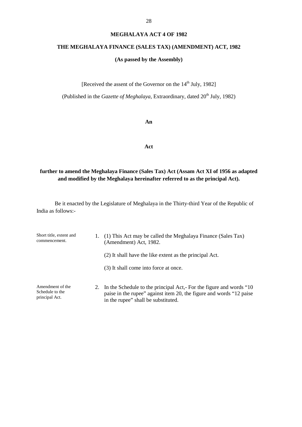#### **MEGHALAYA ACT 4 OF 1982**

#### **THE MEGHALAYA FINANCE (SALES TAX) (AMENDMENT) ACT, 1982**

#### **(As passed by the Assembly)**

[Received the assent of the Governor on the  $14<sup>th</sup>$  July, 1982]

(Published in the *Gazette of Meghalaya*, Extraordinary, dated 20<sup>th</sup> July, 1982)

**An**

**Act**

#### **further to amend the Meghalaya Finance (Sales Tax) Act (Assam Act XI of 1956 as adapted and modified by the Meghalaya hereinafter referred to as the principal Act).**

Be it enacted by the Legislature of Meghalaya in the Thirty-third Year of the Republic of India as follows:-

| Short title, extent and<br>commencement.              | (1) This Act may be called the Meghalaya Finance (Sales Tax)<br>(Amendment) Act, 1982.                                                                                               |
|-------------------------------------------------------|--------------------------------------------------------------------------------------------------------------------------------------------------------------------------------------|
|                                                       | (2) It shall have the like extent as the principal Act.                                                                                                                              |
|                                                       | (3) It shall come into force at once.                                                                                                                                                |
| Amendment of the<br>Schedule to the<br>principal Act. | 2. In the Schedule to the principal Act,- For the figure and words "10<br>paise in the rupee" against item 20, the figure and words "12 paise<br>in the rupee" shall be substituted. |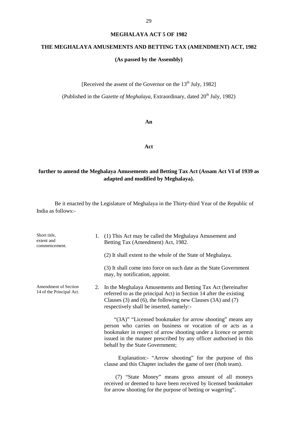#### **THE MEGHALAYA AMUSEMENTS AND BETTING TAX (AMENDMENT) ACT, 1982**

#### **(As passed by the Assembly)**

[Received the assent of the Governor on the  $13<sup>th</sup>$  July, 1982]

(Published in the *Gazette of Meghalaya*, Extraordinary, dated 20<sup>th</sup> July, 1982)

**An**

**Act**

#### **further to amend the Meghalaya Amusements and Betting Tax Act (Assam Act VI of 1939 as adapted and modified by Meghalaya).**

Be it enacted by the Legislature of Meghalaya in the Thirty-third Year of the Republic of India as follows:-

| Short title,<br>extent and<br>commencement.      | 1. (1) This Act may be called the Meghalaya Amusement and<br>Betting Tax (Amendment) Act, 1982.                                                                                                                                                                                                    |
|--------------------------------------------------|----------------------------------------------------------------------------------------------------------------------------------------------------------------------------------------------------------------------------------------------------------------------------------------------------|
|                                                  | (2) It shall extent to the whole of the State of Meghalaya.                                                                                                                                                                                                                                        |
|                                                  | (3) It shall come into force on such date as the State Government<br>may, by notification, appoint.                                                                                                                                                                                                |
| Amendment of Section<br>14 of the Principal Act. | 2. In the Meghalaya Amusements and Betting Tax Act (hereinafter<br>referred to as the principal Act) in Section 14 after the existing<br>Clauses (3) and (6), the following new Clauses (3A) and (7)<br>respectively shall be inserted, namely:-                                                   |
|                                                  | "(3A)" "Licensed bookmaker for arrow shooting" means any<br>person who carries on business or vocation of or acts as a<br>bookmaker in respect of arrow shooting under a licence or permit<br>issued in the manner prescribed by any officer authorised in this<br>behalf by the State Government; |
|                                                  | Explanation:- "Arrow shooting" for the purpose of this<br>clause and this Chapter includes the game of teer (thoh team).                                                                                                                                                                           |
|                                                  | (7) "State Money" means gross amount of all moneys<br>received or deemed to have been received by licensed bookmaker<br>for arrow shooting for the purpose of betting or wagering".                                                                                                                |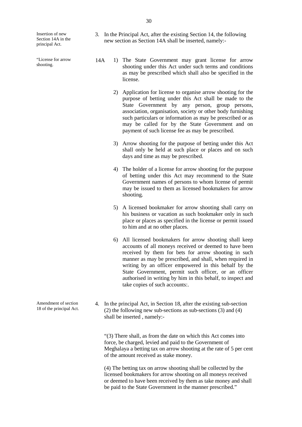Insertion of new Section 14A in the principal Act.

"License for arrow shooting.

- 3. In the Principal Act, after the existing Section 14, the following new section as Section 14A shall be inserted, namely:-
- 1) The State Government may grant license for arrow shooting under this Act under such terms and conditions as may be prescribed which shall also be specified in the license. 14A
	- 2) Application for license to organise arrow shooting for the purpose of betting under this Act shall be made to the State Government by any person, group persons, association, organisation, society or other body furnishing such particulars or information as may be prescribed or as may be called for by the State Government and on payment of such license fee as may be prescribed.
	- 3) Arrow shooting for the purpose of betting under this Act shall only be held at such place or places and on such days and time as may be prescribed.
	- 4) The holder of a license for arrow shooting for the purpose of betting under this Act may recommend to the State Government names of persons to whom license of permit may be issued to them as licensed bookmakers for arrow shooting.
	- 5) A licensed bookmaker for arrow shooting shall carry on his business or vacation as such bookmaker only in such place or places as specified in the license or permit issued to him and at no other places.
	- 6) All licensed bookmakers for arrow shooting shall keep accounts of all moneys received or deemed to have been received by them for bets for arrow shooting in such manner as may be prescribed, and shall, when required in writing by an officer empowered in this behalf by the State Government, permit such officer, or an officer authorised in writing by him in this behalf, to inspect and take copies of such accounts:.
- 4. In the principal Act, in Section 18, after the existing sub-section (2) the following new sub-sections as sub-sections (3) and (4) shall be inserted , namely:-

"(3) There shall, as from the date on which this Act comes into force, be charged, levied and paid to the Government of Meghalaya a betting tax on arrow shooting at the rate of 5 per cent of the amount received as stake money.

(4) The betting tax on arrow shooting shall be collected by the licensed bookmakers for arrow shooting on all moneys received or deemed to have been received by them as take money and shall be paid to the State Government in the manner prescribed."

Amendment of section 18 of the principal Act.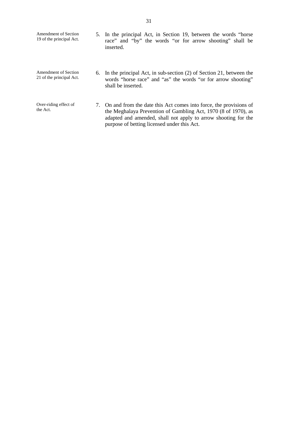| Amendment of Section<br>19 of the principal Act. | 5. In the principal Act, in Section 19, between the words "horse"<br>race" and "by" the words "or for arrow shooting" shall be<br>inserted.                                                                                                             |
|--------------------------------------------------|---------------------------------------------------------------------------------------------------------------------------------------------------------------------------------------------------------------------------------------------------------|
| Amendment of Section<br>21 of the principal Act. | 6. In the principal Act, in sub-section (2) of Section 21, between the<br>words "horse race" and "as" the words "or for arrow shooting"<br>shall be inserted.                                                                                           |
| Over-riding effect of<br>the Act.                | 7. On and from the date this Act comes into force, the provisions of<br>the Meghalaya Prevention of Gambling Act, 1970 (8 of 1970), as<br>adapted and amended, shall not apply to arrow shooting for the<br>purpose of betting licensed under this Act. |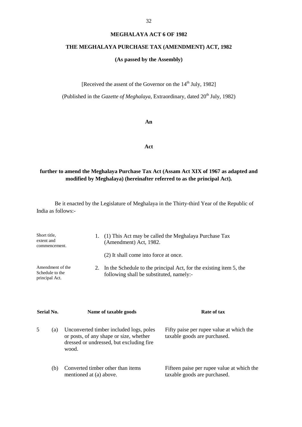#### **MEGHALAYA ACT 6 OF 1982**

#### **THE MEGHALAYA PURCHASE TAX (AMENDMENT) ACT, 1982**

#### **(As passed by the Assembly)**

[Received the assent of the Governor on the  $14<sup>th</sup>$  July, 1982]

(Published in the *Gazette of Meghalaya*, Extraordinary, dated 20<sup>th</sup> July, 1982)

**An**

**Act**

#### **further to amend the Meghalaya Purchase Tax Act (Assam Act XIX of 1967 as adapted and modified by Meghalaya) (hereinafter referred to as the principal Act).**

Be it enacted by the Legislature of Meghalaya in the Thirty-third Year of the Republic of India as follows:-

| Short title,<br>extent and<br>commencement.           | 1. (1) This Act may be called the Meghalaya Purchase Tax<br>(Amendment) Act, 1982.                                |
|-------------------------------------------------------|-------------------------------------------------------------------------------------------------------------------|
|                                                       | (2) It shall come into force at once.                                                                             |
| Amendment of the<br>Schedule to the<br>principal Act. | 2. In the Schedule to the principal Act, for the existing item 5, the<br>following shall be substituted, namely:- |

| Serial No. |     | Name of taxable goods                                                                                                                   | Rate of tax                                                                |
|------------|-----|-----------------------------------------------------------------------------------------------------------------------------------------|----------------------------------------------------------------------------|
| 5          | (a) | Unconverted timber included logs, poles<br>or posts, of any shape or size, whether<br>dressed or undressed, but excluding fire<br>wood. | Fifty paise per rupee value at which the<br>taxable goods are purchased.   |
|            | (b) | Converted timber other than items<br>mentioned at (a) above.                                                                            | Fifteen paise per rupee value at which the<br>taxable goods are purchased. |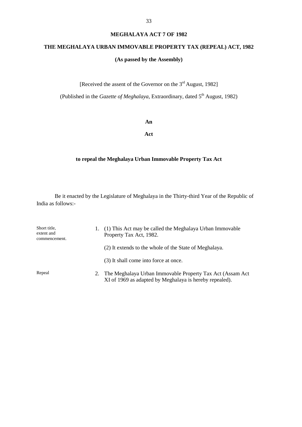#### **MEGHALAYA ACT 7 OF 1982**

#### **THE MEGHALAYA URBAN IMMOVABLE PROPERTY TAX (REPEAL) ACT, 1982**

#### **(As passed by the Assembly)**

[Received the assent of the Governor on the  $3<sup>rd</sup>$  August, 1982]

(Published in the *Gazette of Meghalaya*, Extraordinary, dated 5<sup>th</sup> August, 1982)

#### **An**

**Act**

#### **to repeal the Meghalaya Urban Immovable Property Tax Act**

Be it enacted by the Legislature of Meghalaya in the Thirty-third Year of the Republic of India as follows:-

| Short title,<br>extent and<br>commencement. |    | (1) This Act may be called the Meghalaya Urban Immovable<br>Property Tax Act, 1982.                                   |
|---------------------------------------------|----|-----------------------------------------------------------------------------------------------------------------------|
|                                             |    | (2) It extends to the whole of the State of Meghalaya.                                                                |
|                                             |    | (3) It shall come into force at once.                                                                                 |
| Repeal                                      | 2. | The Meghalaya Urban Immovable Property Tax Act (Assam Act)<br>XI of 1969 as adapted by Meghalaya is hereby repealed). |